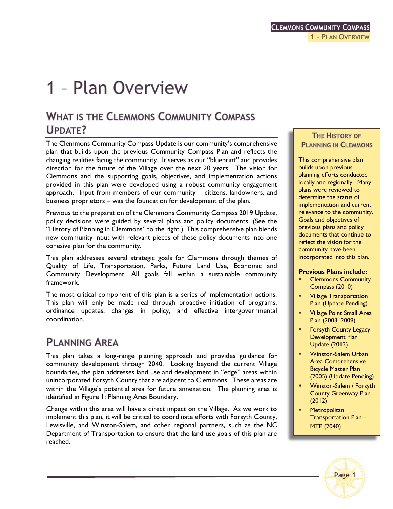# 1 - Plan Overview

# **WHAT IS THE CLEMMONS COMMUNITY COMPASS UPDATE?**

The Clemmons Community Compass Update is our community's comprehensive plan that builds upon the previous Community Compass Plan and reflects the changing realities facing the community. It serves as our "blueprint" and provides direction for the future of the Village over the next 20 years. The vision for Clemmons and the supporting goals, objectives, and implementation actions provided in this plan were developed using a robust community engagement approach. Input from members of our community – citizens, landowners, and business proprietors – was the foundation for development of the plan.

Previous to the preparation of the Clemmons Community Compass 2019 Update, policy decisions were guided by several plans and policy documents. (See the "History of Planning in Clemmons" to the right.) This comprehensive plan blends new community input with relevant pieces of these policy documents into one cohesive plan for the community.

This plan addresses several strategic goals for Clemmons through themes of Quality of Life, Transportation, Parks, Future Land Use, Economic and Community Development. All goals fall within a sustainable community framework.

The most critical component of this plan is a series of implementation actions. This plan will only be made real through proactive initiation of programs, ordinance updates, changes in policy, and effective intergovernmental coordination.

# **PLANNING AREA**

This plan takes a long-range planning approach and provides guidance for community development through 2040. Looking beyond the current Village boundaries, the plan addresses land use and development in "edge" areas within unincorporated Forsyth County that are adjacent to Clemmons. These areas are within the Village's potential area for future annexation. The planning area is identified in Figure 1: Planning Area Boundary.

Change within this area will have a direct impact on the Village. As we work to implement this plan, it will be critical to coordinate efforts with Forsyth County, Lewisville, and Winston-Salem, and other regional partners, such as the NC Department of Transportation to ensure that the land use goals of this plan are reached.

#### **THE HISTORY OF PLANNING IN CLEMMONS**

This comprehensive plan builds upon previous planning efforts conducted locally and regionally. Many plans were reviewed to determine the status of implementation and current relevance to the community. Goals and objectives of previous plans and policy documents that continue to reflect the vision for the community have been incorporated into this plan.

#### **Previous Plans include:**

- Clemmons Community Compass (2010)
- Village Transportation Plan (Update Pending)
- Village Point Small Area Plan (2003, 2009)
- Forsyth County Legacy Development Plan Update (2013)
- Winston-Salem Urban Area Comprehensive Bicycle Master Plan (2005) (Update Pending)
- Winston-Salem / Forsyth County Greenway Plan (2012)
- **Metropolitan** Transportation Plan - MTP (2040)

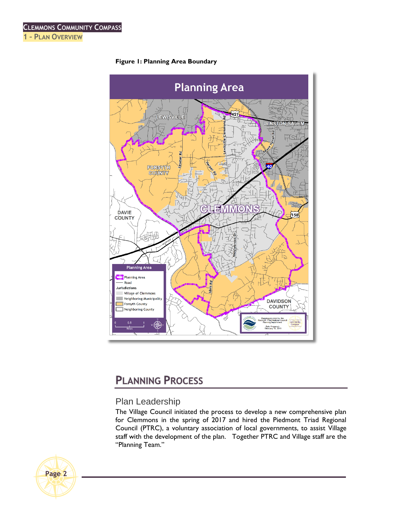

#### **Figure 1: Planning Area Boundary**

# **PLANNING PROCESS**

# Plan Leadership

The Village Council initiated the process to develop a new comprehensive plan for Clemmons in the spring of 2017 and hired the Piedmont Triad Regional Council (PTRC), a voluntary association of local governments, to assist Village staff with the development of the plan. Together PTRC and Village staff are the "Planning Team."

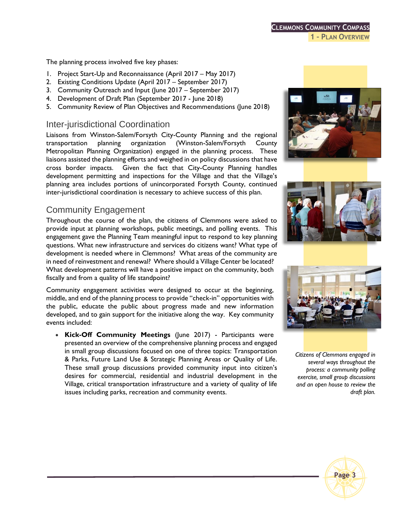The planning process involved five key phases:

- 1. Project Start-Up and Reconnaissance (April 2017 May 2017)
- 2. Existing Conditions Update (April 2017 September 2017)
- 3. Community Outreach and Input (June 2017 September 2017)
- 4. Development of Draft Plan (September 2017 June 2018)
- 5. Community Review of Plan Objectives and Recommendations (June 2018)

### Inter-jurisdictional Coordination

Liaisons from Winston-Salem/Forsyth City-County Planning and the regional transportation planning organization (Winston-Salem/Forsyth County Metropolitan Planning Organization) engaged in the planning process. These liaisons assisted the planning efforts and weighed in on policy discussions that have cross border impacts. Given the fact that City-County Planning handles development permitting and inspections for the Village and that the Village's planning area includes portions of unincorporated Forsyth County, continued inter-jurisdictional coordination is necessary to achieve success of this plan.

## Community Engagement

Throughout the course of the plan, the citizens of Clemmons were asked to provide input at planning workshops, public meetings, and polling events. This engagement gave the Planning Team meaningful input to respond to key planning questions. What new infrastructure and services do citizens want? What type of development is needed where in Clemmons? What areas of the community are in need of reinvestment and renewal? Where should a Village Center be located? What development patterns will have a positive impact on the community, both fiscally and from a quality of life standpoint?

Community engagement activities were designed to occur at the beginning, middle, and end of the planning process to provide "check-in" opportunities with the public, educate the public about progress made and new information developed, and to gain support for the initiative along the way. Key community events included:

 **Kick-Off Community Meetings** (June 2017) - Participants were presented an overview of the comprehensive planning process and engaged in small group discussions focused on one of three topics: Transportation & Parks, Future Land Use & Strategic Planning Areas or Quality of Life. These small group discussions provided community input into citizen's desires for commercial, residential and industrial development in the Village, critical transportation infrastructure and a variety of quality of life issues including parks, recreation and community events.







*Citizens of Clemmons engaged in several ways throughout the process: a community polling exercise, small group discussions and an open house to review the draft plan.* 

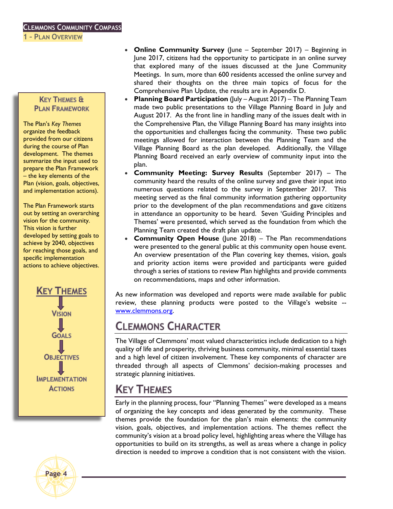**1 – PLAN OVERVIEW**

#### **KEY THEMES & PLAN FRAMEWORK**

The Plan's *Key Themes* organize the feedback provided from our citizens during the course of Plan development. The themes summarize the input used to prepare the Plan Framework – the key elements of the Plan (vision, goals, objectives, and implementation actions).

The Plan Framework starts out by setting an overarching vision for the community. This vision is further developed by setting goals to achieve by 2040, objectives for reaching those goals, and specific implementation actions to achieve objectives.





- **Online Community Survey** (June September 2017) Beginning in June 2017, citizens had the opportunity to participate in an online survey that explored many of the issues discussed at the June Community Meetings. In sum, more than 600 residents accessed the online survey and shared their thoughts on the three main topics of focus for the Comprehensive Plan Update, the results are in Appendix D.
- **Planning Board Participation** (July August 2017) The Planning Team made two public presentations to the Village Planning Board in July and August 2017. As the front line in handling many of the issues dealt with in the Comprehensive Plan, the Village Planning Board has many insights into the opportunities and challenges facing the community. These two public meetings allowed for interaction between the Planning Team and the Village Planning Board as the plan developed. Additionally, the Village Planning Board received an early overview of community input into the plan.
- **Community Meeting: Survey Results** (September 2017) The community heard the results of the online survey and gave their input into numerous questions related to the survey in September 2017. This meeting served as the final community information gathering opportunity prior to the development of the plan recommendations and gave citizens in attendance an opportunity to be heard. Seven 'Guiding Principles and Themes' were presented, which served as the foundation from which the Planning Team created the draft plan update.
- **Community Open House** (June 2018) The Plan recommendations were presented to the general public at this community open house event. An overview presentation of the Plan covering key themes, vision, goals and priority action items were provided and participants were guided through a series of stations to review Plan highlights and provide comments on recommendations, maps and other information.

As new information was developed and reports were made available for public review, these planning products were posted to the Village's website - [www.clemmons.org.](http://www.clemmons.org/)

# **CLEMMONS CHARACTER**

The Village of Clemmons' most valued characteristics include dedication to a high quality of life and prosperity, thriving business community, minimal essential taxes and a high level of citizen involvement. These key components of character are threaded through all aspects of Clemmons' decision-making processes and strategic planning initiatives.

# **KEY THEMES**

Early in the planning process, four "Planning Themes" were developed as a means of organizing the key concepts and ideas generated by the community. These themes provide the foundation for the plan's main elements: the community vision, goals, objectives, and implementation actions. The themes reflect the community's vision at a broad policy level, highlighting areas where the Village has opportunities to build on its strengths, as well as areas where a change in policy direction is needed to improve a condition that is not consistent with the vision.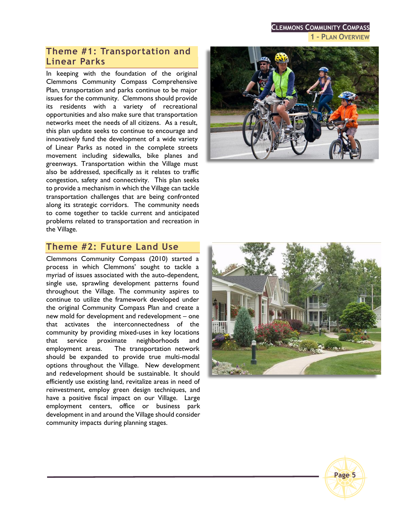**CLEMMONS COMMUNITY COMPASS 1 – PLAN OVERVIEW**

### **Theme #1: Transportation and Linear Parks**

In keeping with the foundation of the original Clemmons Community Compass Comprehensive Plan, transportation and parks continue to be major issues for the community. Clemmons should provide its residents with a variety of recreational opportunities and also make sure that transportation networks meet the needs of all citizens. As a result, this plan update seeks to continue to encourage and innovatively fund the development of a wide variety of Linear Parks as noted in the complete streets movement including sidewalks, bike planes and greenways. Transportation within the Village must also be addressed, specifically as it relates to traffic congestion, safety and connectivity. This plan seeks to provide a mechanism in which the Village can tackle transportation challenges that are being confronted along its strategic corridors. The community needs to come together to tackle current and anticipated problems related to transportation and recreation in the Village.



### **Theme #2: Future Land Use**

Clemmons Community Compass (2010) started a process in which Clemmons' sought to tackle a myriad of issues associated with the auto-dependent, single use, sprawling development patterns found throughout the Village. The community aspires to continue to utilize the framework developed under the original Community Compass Plan and create a new mold for development and redevelopment – one that activates the interconnectedness of the community by providing mixed-uses in key locations that service proximate neighborhoods and employment areas. The transportation network should be expanded to provide true multi-modal options throughout the Village. New development and redevelopment should be sustainable. It should efficiently use existing land, revitalize areas in need of reinvestment, employ green design techniques, and have a positive fiscal impact on our Village. Large employment centers, office or business park development in and around the Village should consider community impacts during planning stages.